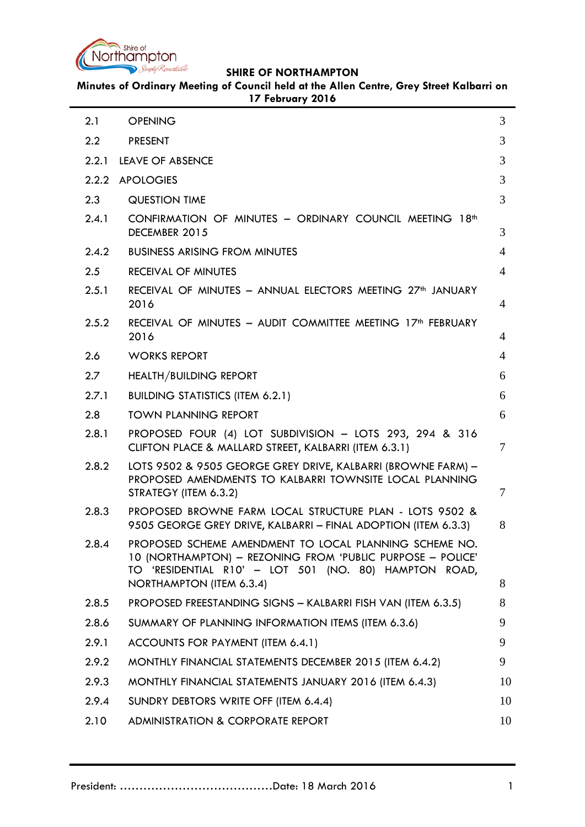

**Minutes of Ordinary Meeting of Council held at the Allen Centre, Grey Street Kalbarri on 17 February 2016**

| 2.1   | <b>OPENING</b>                                                                                                                                                                                            | 3              |
|-------|-----------------------------------------------------------------------------------------------------------------------------------------------------------------------------------------------------------|----------------|
| 2.2   | <b>PRESENT</b>                                                                                                                                                                                            | 3              |
| 2.2.1 | <b>LEAVE OF ABSENCE</b>                                                                                                                                                                                   | 3              |
|       | 2.2.2 APOLOGIES                                                                                                                                                                                           | 3              |
| 2.3   | <b>QUESTION TIME</b>                                                                                                                                                                                      | 3              |
| 2.4.1 | CONFIRMATION OF MINUTES - ORDINARY COUNCIL MEETING 18 <sup>th</sup><br>DECEMBER 2015                                                                                                                      | 3              |
| 2.4.2 | <b>BUSINESS ARISING FROM MINUTES</b>                                                                                                                                                                      | 4              |
| 2.5   | <b>RECEIVAL OF MINUTES</b>                                                                                                                                                                                | $\overline{4}$ |
| 2.5.1 | RECEIVAL OF MINUTES - ANNUAL ELECTORS MEETING 27 <sup>th</sup> JANUARY<br>2016                                                                                                                            | $\overline{4}$ |
| 2.5.2 | RECEIVAL OF MINUTES - AUDIT COMMITTEE MEETING 17th FEBRUARY<br>2016                                                                                                                                       | 4              |
| 2.6   | <b>WORKS REPORT</b>                                                                                                                                                                                       | 4              |
| 2.7   | <b>HEALTH/BUILDING REPORT</b>                                                                                                                                                                             | 6              |
| 2.7.1 | <b>BUILDING STATISTICS (ITEM 6.2.1)</b>                                                                                                                                                                   | 6              |
| 2.8   | <b>TOWN PLANNING REPORT</b>                                                                                                                                                                               | 6              |
| 2.8.1 | PROPOSED FOUR (4) LOT SUBDIVISION - LOTS 293, 294 & 316<br>CLIFTON PLACE & MALLARD STREET, KALBARRI (ITEM 6.3.1)                                                                                          | 7              |
| 2.8.2 | LOTS 9502 & 9505 GEORGE GREY DRIVE, KALBARRI (BROWNE FARM) -<br>PROPOSED AMENDMENTS TO KALBARRI TOWNSITE LOCAL PLANNING<br>STRATEGY (ITEM 6.3.2)                                                          | 7              |
| 2.8.3 | PROPOSED BROWNE FARM LOCAL STRUCTURE PLAN - LOTS 9502 &<br>9505 GEORGE GREY DRIVE, KALBARRI - FINAL ADOPTION (ITEM 6.3.3)                                                                                 | 8              |
| 2.8.4 | PROPOSED SCHEME AMENDMENT TO LOCAL PLANNING SCHEME NO.<br>10 (NORTHAMPTON) - REZONING FROM 'PUBLIC PURPOSE - POLICE'<br>TO 'RESIDENTIAL R10' - LOT 501 (NO. 80) HAMPTON ROAD,<br>NORTHAMPTON (ITEM 6.3.4) | 8              |
| 2.8.5 | PROPOSED FREESTANDING SIGNS - KALBARRI FISH VAN (ITEM 6.3.5)                                                                                                                                              | 8              |
| 2.8.6 | SUMMARY OF PLANNING INFORMATION ITEMS (ITEM 6.3.6)                                                                                                                                                        | 9              |
| 2.9.1 | ACCOUNTS FOR PAYMENT (ITEM 6.4.1)                                                                                                                                                                         | 9              |
| 2.9.2 | MONTHLY FINANCIAL STATEMENTS DECEMBER 2015 (ITEM 6.4.2)                                                                                                                                                   | 9              |
| 2.9.3 | MONTHLY FINANCIAL STATEMENTS JANUARY 2016 (ITEM 6.4.3)                                                                                                                                                    | 10             |
| 2.9.4 | SUNDRY DEBTORS WRITE OFF (ITEM 6.4.4)                                                                                                                                                                     | 10             |
| 2.10  | <b>ADMINISTRATION &amp; CORPORATE REPORT</b>                                                                                                                                                              | 10             |
|       |                                                                                                                                                                                                           |                |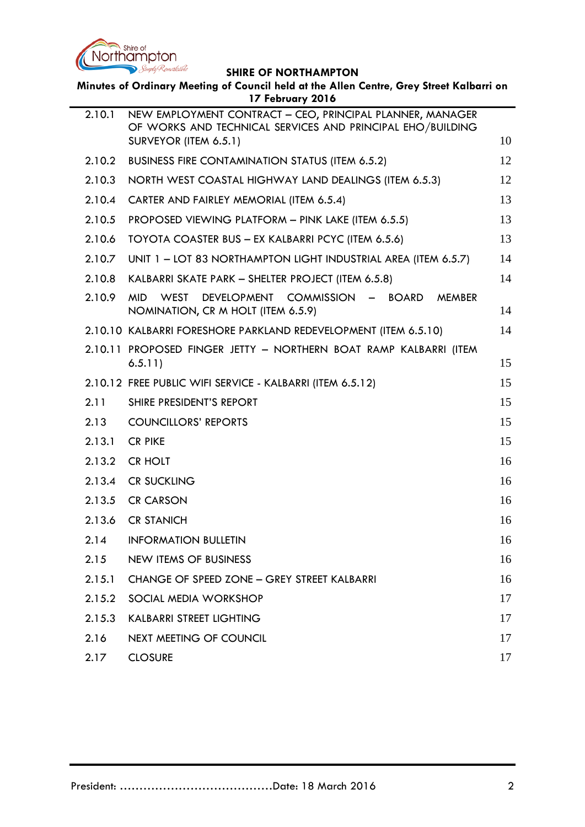

| Minutes of Ordinary Meeting of Council held at the Allen Centre, Grey Street Kalbarri on<br>17 February 2016 |                                                                                                                                                  |    |
|--------------------------------------------------------------------------------------------------------------|--------------------------------------------------------------------------------------------------------------------------------------------------|----|
| 2.10.1                                                                                                       | NEW EMPLOYMENT CONTRACT - CEO, PRINCIPAL PLANNER, MANAGER<br>OF WORKS AND TECHNICAL SERVICES AND PRINCIPAL EHO/BUILDING<br>SURVEYOR (ITEM 6.5.1) | 10 |
| 2.10.2                                                                                                       | <b>BUSINESS FIRE CONTAMINATION STATUS (ITEM 6.5.2)</b>                                                                                           | 12 |
| 2.10.3                                                                                                       | NORTH WEST COASTAL HIGHWAY LAND DEALINGS (ITEM 6.5.3)                                                                                            | 12 |
| 2.10.4                                                                                                       | CARTER AND FAIRLEY MEMORIAL (ITEM 6.5.4)                                                                                                         | 13 |
| 2.10.5                                                                                                       | PROPOSED VIEWING PLATFORM - PINK LAKE (ITEM 6.5.5)                                                                                               | 13 |
| 2.10.6                                                                                                       | TOYOTA COASTER BUS - EX KALBARRI PCYC (ITEM 6.5.6)                                                                                               | 13 |
| 2.10.7                                                                                                       | UNIT 1 - LOT 83 NORTHAMPTON LIGHT INDUSTRIAL AREA (ITEM 6.5.7)                                                                                   | 14 |
| 2.10.8                                                                                                       | KALBARRI SKATE PARK - SHELTER PROJECT (ITEM 6.5.8)                                                                                               | 14 |
| 2.10.9                                                                                                       | <b>MID</b><br>WEST DEVELOPMENT COMMISSION - BOARD<br>MEMBER<br>NOMINATION, CR M HOLT (ITEM 6.5.9)                                                | 14 |
|                                                                                                              | 2.10.10 KALBARRI FORESHORE PARKLAND REDEVELOPMENT (ITEM 6.5.10)                                                                                  | 14 |
|                                                                                                              | 2.10.11 PROPOSED FINGER JETTY - NORTHERN BOAT RAMP KALBARRI (ITEM<br>6.5.11)                                                                     | 15 |
|                                                                                                              | 2.10.12 FREE PUBLIC WIFI SERVICE - KALBARRI (ITEM 6.5.12)                                                                                        | 15 |
| 2.11                                                                                                         | SHIRE PRESIDENT'S REPORT                                                                                                                         | 15 |
| 2.13                                                                                                         | <b>COUNCILLORS' REPORTS</b>                                                                                                                      | 15 |
| 2.13.1                                                                                                       | <b>CR PIKE</b>                                                                                                                                   | 15 |
| 2.13.2                                                                                                       | <b>CR HOLT</b>                                                                                                                                   | 16 |
| 2.13.4                                                                                                       | <b>CR SUCKLING</b>                                                                                                                               | 16 |
| 2.13.5                                                                                                       | <b>CR CARSON</b>                                                                                                                                 | 16 |
|                                                                                                              | 2.13.6 CR STANICH                                                                                                                                | 16 |
| 2.14                                                                                                         | <b>INFORMATION BULLETIN</b>                                                                                                                      | 16 |
| 2.15                                                                                                         | <b>NEW ITEMS OF BUSINESS</b>                                                                                                                     | 16 |
| 2.15.1                                                                                                       | <b>CHANGE OF SPEED ZONE - GREY STREET KALBARRI</b>                                                                                               | 16 |
| 2.15.2                                                                                                       | SOCIAL MEDIA WORKSHOP                                                                                                                            | 17 |
| 2.15.3                                                                                                       | <b>KALBARRI STREET LIGHTING</b>                                                                                                                  | 17 |
| 2.16                                                                                                         | NEXT MEETING OF COUNCIL                                                                                                                          | 17 |
| 2.17                                                                                                         | <b>CLOSURE</b>                                                                                                                                   | 17 |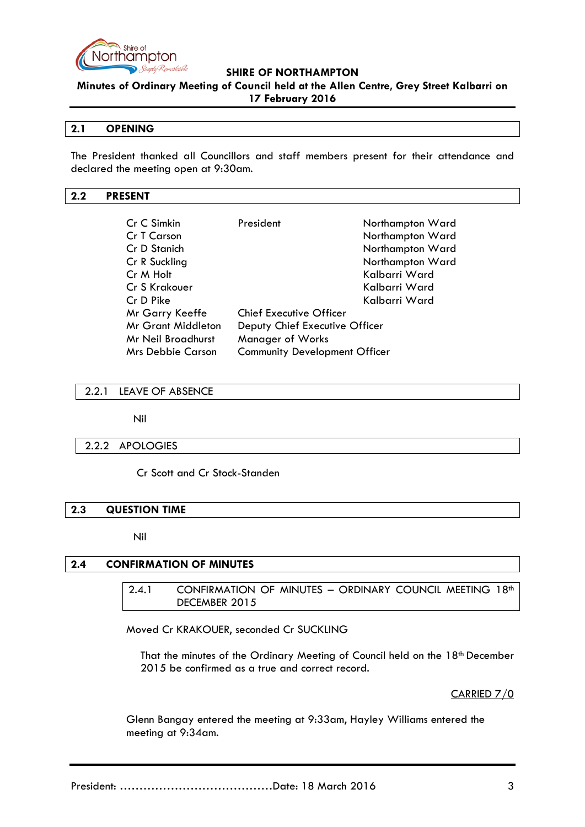

**Minutes of Ordinary Meeting of Council held at the Allen Centre, Grey Street Kalbarri on 17 February 2016**

#### <span id="page-2-0"></span>**2.1 OPENING**

The President thanked all Councillors and staff members present for their attendance and declared the meeting open at 9:30am.

#### <span id="page-2-1"></span>**2.2 PRESENT**

| Cr C Simkin               | President                            | Northampton Ward |
|---------------------------|--------------------------------------|------------------|
| Cr T Carson               |                                      | Northampton Ward |
| Cr D Stanich              |                                      | Northampton Ward |
| Cr R Suckling             |                                      | Northampton Ward |
| Cr M Holt                 |                                      | Kalbarri Ward    |
| Cr S Krakouer             |                                      | Kalbarri Ward    |
| Cr D Pike                 |                                      | Kalbarri Ward    |
| Mr Garry Keeffe           | <b>Chief Executive Officer</b>       |                  |
| <b>Mr Grant Middleton</b> | Deputy Chief Executive Officer       |                  |
| Mr Neil Broadhurst        | <b>Manager of Works</b>              |                  |
| <b>Mrs Debbie Carson</b>  | <b>Community Development Officer</b> |                  |

### <span id="page-2-2"></span>2.2.1 LEAVE OF ABSENCE

Nil

#### <span id="page-2-3"></span>2.2.2 APOLOGIES

Cr Scott and Cr Stock-Standen

## <span id="page-2-4"></span>**2.3 QUESTION TIME**

Nil

# <span id="page-2-5"></span>**2.4 CONFIRMATION OF MINUTES**

2.4.1 CONFIRMATION OF MINUTES - ORDINARY COUNCIL MEETING 18<sup>th</sup> DECEMBER 2015

Moved Cr KRAKOUER, seconded Cr SUCKLING

That the minutes of the Ordinary Meeting of Council held on the 18<sup>th</sup> December 2015 be confirmed as a true and correct record.

# CARRIED 7/0

Glenn Bangay entered the meeting at 9:33am, Hayley Williams entered the meeting at 9:34am.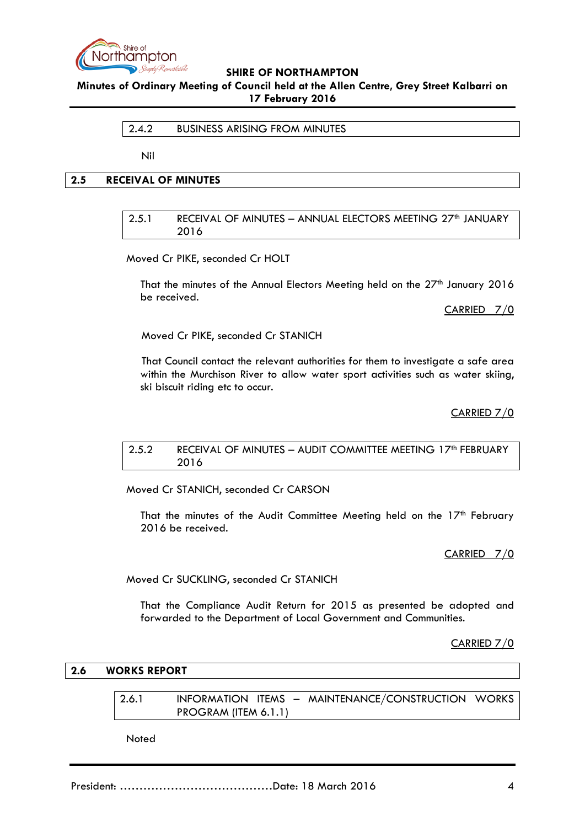

<span id="page-3-0"></span>**Minutes of Ordinary Meeting of Council held at the Allen Centre, Grey Street Kalbarri on 17 February 2016**

2.4.2 BUSINESS ARISING FROM MINUTES

Nil

### <span id="page-3-2"></span><span id="page-3-1"></span>**2.5 RECEIVAL OF MINUTES**

2.5.1 RECEIVAL OF MINUTES - ANNUAL ELECTORS MEETING 27<sup>th</sup> JANUARY 2016

Moved Cr PIKE, seconded Cr HOLT

That the minutes of the Annual Electors Meeting held on the 27<sup>th</sup> January 2016 be received.

CARRIED 7/0

Moved Cr PIKE, seconded Cr STANICH

That Council contact the relevant authorities for them to investigate a safe area within the Murchison River to allow water sport activities such as water skiing, ski biscuit riding etc to occur.

CARRIED 7/0

### <span id="page-3-3"></span>2.5.2 RECEIVAL OF MINUTES – AUDIT COMMITTEE MEETING 17th FEBRUARY 2016

Moved Cr STANICH, seconded Cr CARSON

That the minutes of the Audit Committee Meeting held on the  $17<sup>th</sup>$  February 2016 be received.

CARRIED 7/0

Moved Cr SUCKLING, seconded Cr STANICH

That the Compliance Audit Return for 2015 as presented be adopted and forwarded to the Department of Local Government and Communities.

CARRIED 7/0

### <span id="page-3-4"></span>**2.6 WORKS REPORT**

2.6.1 INFORMATION ITEMS – MAINTENANCE/CONSTRUCTION WORKS PROGRAM (ITEM 6.1.1)

Noted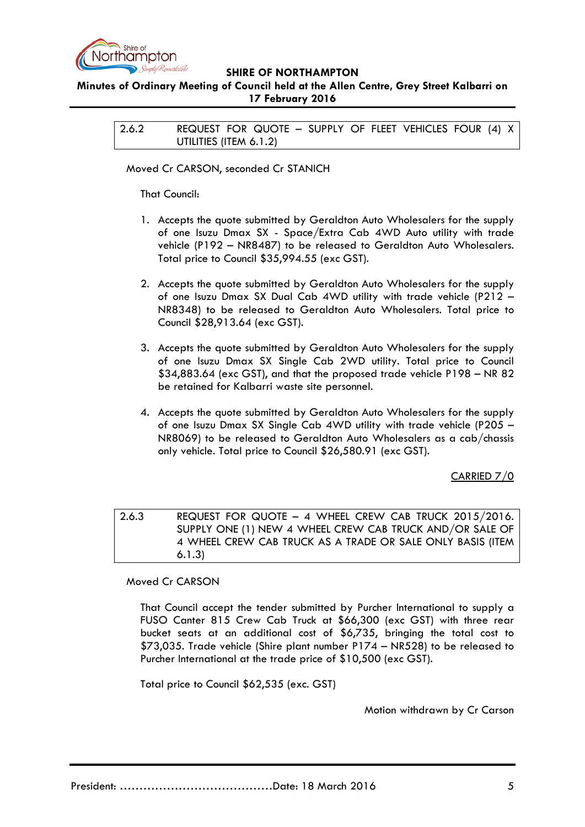

**Minutes of Ordinary Meeting of Council held at the Allen Centre, Grey Street Kalbarri on 17 February 2016**

2.6.2 REQUEST FOR QUOTE – SUPPLY OF FLEET VEHICLES FOUR (4) X UTILITIES (ITEM 6.1.2)

Moved Cr CARSON, seconded Cr STANICH

That Council:

- 1. Accepts the quote submitted by Geraldton Auto Wholesalers for the supply of one Isuzu Dmax SX - Space/Extra Cab 4WD Auto utility with trade vehicle (P192 – NR8487) to be released to Geraldton Auto Wholesalers. Total price to Council \$35,994.55 (exc GST).
- 2. Accepts the quote submitted by Geraldton Auto Wholesalers for the supply of one Isuzu Dmax SX Dual Cab 4WD utility with trade vehicle (P212 – NR8348) to be released to Geraldton Auto Wholesalers. Total price to Council \$28,913.64 (exc GST).
- 3. Accepts the quote submitted by Geraldton Auto Wholesalers for the supply of one Isuzu Dmax SX Single Cab 2WD utility. Total price to Council \$34,883.64 (exc GST), and that the proposed trade vehicle P198 – NR 82 be retained for Kalbarri waste site personnel.
- 4. Accepts the quote submitted by Geraldton Auto Wholesalers for the supply of one Isuzu Dmax SX Single Cab 4WD utility with trade vehicle (P205 – NR8069) to be released to Geraldton Auto Wholesalers as a cab/chassis only vehicle. Total price to Council \$26,580.91 (exc GST).

CARRIED 7/0

2.6.3 REQUEST FOR QUOTE – 4 WHEEL CREW CAB TRUCK 2015/2016. SUPPLY ONE (1) NEW 4 WHEEL CREW CAB TRUCK AND/OR SALE OF 4 WHEEL CREW CAB TRUCK AS A TRADE OR SALE ONLY BASIS (ITEM 6.1.3)

Moved Cr CARSON

That Council accept the tender submitted by Purcher International to supply a FUSO Canter 815 Crew Cab Truck at \$66,300 (exc GST) with three rear bucket seats at an additional cost of \$6,735, bringing the total cost to \$73,035. Trade vehicle (Shire plant number P174 – NR528) to be released to Purcher International at the trade price of \$10,500 (exc GST).

Total price to Council \$62,535 (exc. GST)

Motion withdrawn by Cr Carson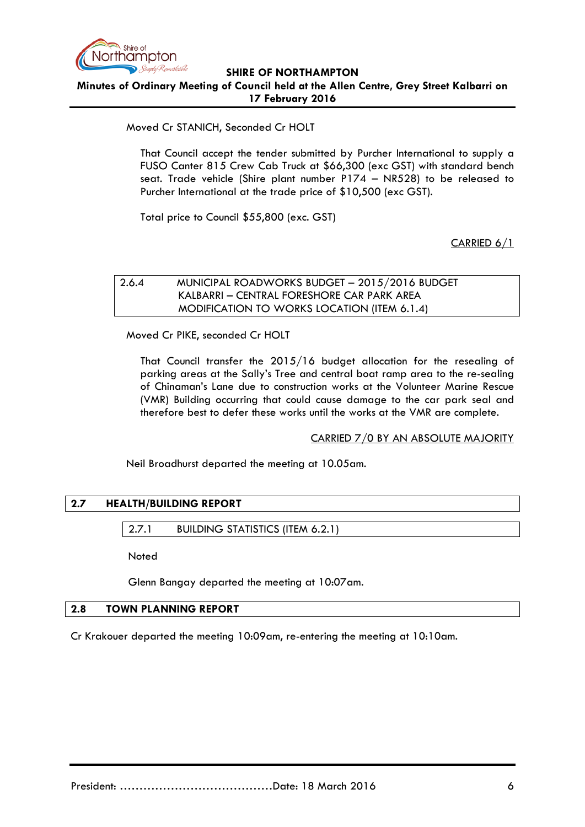

# **SHIRE OF NORTHAMPTON Minutes of Ordinary Meeting of Council held at the Allen Centre, Grey Street Kalbarri on 17 February 2016**

# Moved Cr STANICH, Seconded Cr HOLT

That Council accept the tender submitted by Purcher International to supply a FUSO Canter 815 Crew Cab Truck at \$66,300 (exc GST) with standard bench seat. Trade vehicle (Shire plant number P174 – NR528) to be released to Purcher International at the trade price of \$10,500 (exc GST).

Total price to Council \$55,800 (exc. GST)

CARRIED 6/1

# 2.6.4 MUNICIPAL ROADWORKS BUDGET – 2015/2016 BUDGET KALBARRI – CENTRAL FORESHORE CAR PARK AREA MODIFICATION TO WORKS LOCATION (ITEM 6.1.4)

Moved Cr PIKE, seconded Cr HOLT

That Council transfer the 2015/16 budget allocation for the resealing of parking areas at the Sally's Tree and central boat ramp area to the re-sealing of Chinaman's Lane due to construction works at the Volunteer Marine Rescue (VMR) Building occurring that could cause damage to the car park seal and therefore best to defer these works until the works at the VMR are complete.

# CARRIED 7/0 BY AN ABSOLUTE MAJORITY

Neil Broadhurst departed the meeting at 10.05am.

#### <span id="page-5-1"></span><span id="page-5-0"></span>**2.7 HEALTH/BUILDING REPORT**

2.7.1 BUILDING STATISTICS (ITEM 6.2.1)

Noted

Glenn Bangay departed the meeting at 10:07am.

#### <span id="page-5-2"></span>**2.8 TOWN PLANNING REPORT**

Cr Krakouer departed the meeting 10:09am, re-entering the meeting at 10:10am.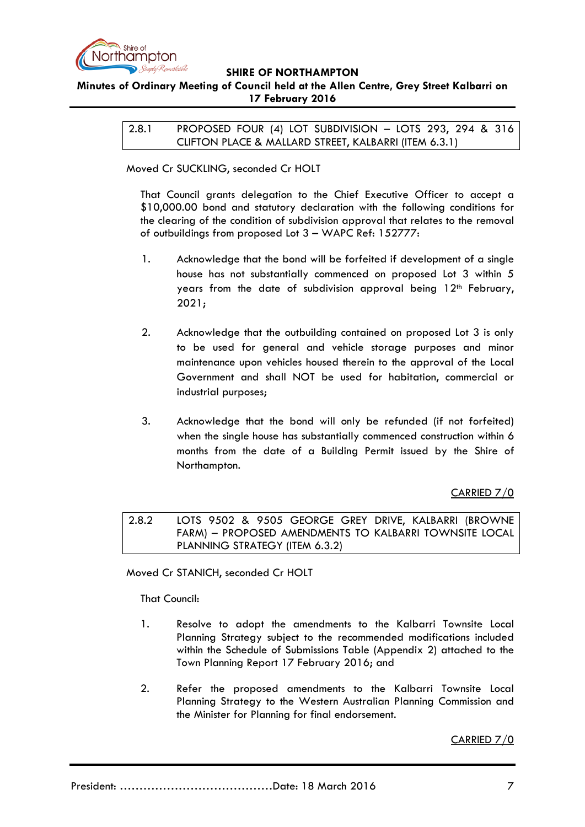

# <span id="page-6-0"></span>**Minutes of Ordinary Meeting of Council held at the Allen Centre, Grey Street Kalbarri on 17 February 2016**

2.8.1 PROPOSED FOUR (4) LOT SUBDIVISION – LOTS 293, 294 & 316 CLIFTON PLACE & MALLARD STREET, KALBARRI (ITEM 6.3.1)

Moved Cr SUCKLING, seconded Cr HOLT

That Council grants delegation to the Chief Executive Officer to accept a \$10,000.00 bond and statutory declaration with the following conditions for the clearing of the condition of subdivision approval that relates to the removal of outbuildings from proposed Lot 3 – WAPC Ref: 152777:

- 1. Acknowledge that the bond will be forfeited if development of a single house has not substantially commenced on proposed Lot 3 within 5 years from the date of subdivision approval being  $12<sup>th</sup>$  February, 2021;
- 2. Acknowledge that the outbuilding contained on proposed Lot 3 is only to be used for general and vehicle storage purposes and minor maintenance upon vehicles housed therein to the approval of the Local Government and shall NOT be used for habitation, commercial or industrial purposes;
- 3. Acknowledge that the bond will only be refunded (if not forfeited) when the single house has substantially commenced construction within 6 months from the date of a Building Permit issued by the Shire of Northampton.

# CARRIED 7/0

<span id="page-6-1"></span>2.8.2 LOTS 9502 & 9505 GEORGE GREY DRIVE, KALBARRI (BROWNE FARM) – PROPOSED AMENDMENTS TO KALBARRI TOWNSITE LOCAL PLANNING STRATEGY (ITEM 6.3.2)

Moved Cr STANICH, seconded Cr HOLT

That Council:

- 1. Resolve to adopt the amendments to the Kalbarri Townsite Local Planning Strategy subject to the recommended modifications included within the Schedule of Submissions Table (Appendix 2) attached to the Town Planning Report 17 February 2016; and
- 2. Refer the proposed amendments to the Kalbarri Townsite Local Planning Strategy to the Western Australian Planning Commission and the Minister for Planning for final endorsement.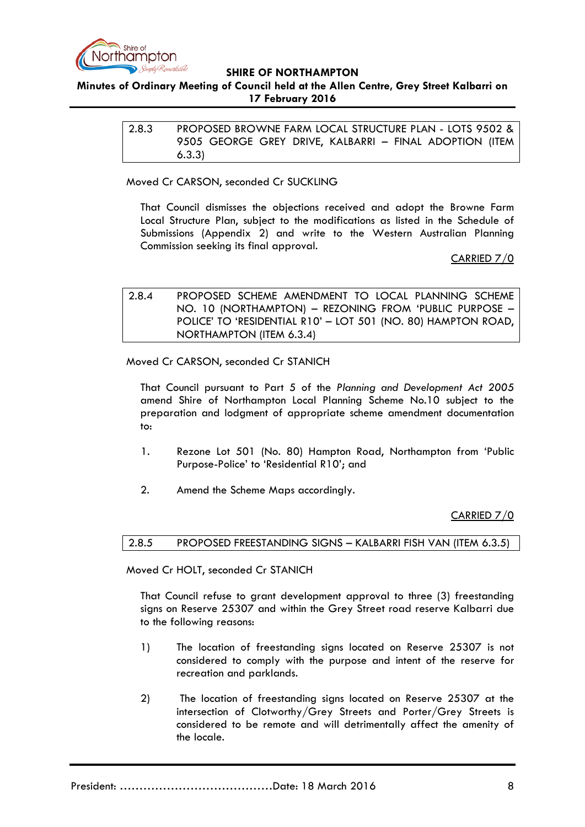

# <span id="page-7-0"></span>**Minutes of Ordinary Meeting of Council held at the Allen Centre, Grey Street Kalbarri on 17 February 2016**

| 2.8.3 | PROPOSED BROWNE FARM LOCAL STRUCTURE PLAN - LOTS 9502 & |
|-------|---------------------------------------------------------|
|       | 9505 GEORGE GREY DRIVE, KALBARRI - FINAL ADOPTION (ITEM |
|       | (6.3.3)                                                 |

Moved Cr CARSON, seconded Cr SUCKLING

That Council dismisses the objections received and adopt the Browne Farm Local Structure Plan, subject to the modifications as listed in the Schedule of Submissions (Appendix 2) and write to the Western Australian Planning Commission seeking its final approval.

### CARRIED 7/0

<span id="page-7-1"></span>2.8.4 PROPOSED SCHEME AMENDMENT TO LOCAL PLANNING SCHEME NO. 10 (NORTHAMPTON) – REZONING FROM 'PUBLIC PURPOSE – POLICE' TO 'RESIDENTIAL R10' – LOT 501 (NO. 80) HAMPTON ROAD, NORTHAMPTON (ITEM 6.3.4)

Moved Cr CARSON, seconded Cr STANICH

That Council pursuant to Part 5 of the *Planning and Development Act 2005* amend Shire of Northampton Local Planning Scheme No.10 subject to the preparation and lodgment of appropriate scheme amendment documentation to:

- 1. Rezone Lot 501 (No. 80) Hampton Road, Northampton from 'Public Purpose-Police' to 'Residential R10'; and
- 2. Amend the Scheme Maps accordingly.

CARRIED 7/0

<span id="page-7-2"></span>2.8.5 PROPOSED FREESTANDING SIGNS – KALBARRI FISH VAN (ITEM 6.3.5)

Moved Cr HOLT, seconded Cr STANICH

That Council refuse to grant development approval to three (3) freestanding signs on Reserve 25307 and within the Grey Street road reserve Kalbarri due to the following reasons:

- 1) The location of freestanding signs located on Reserve 25307 is not considered to comply with the purpose and intent of the reserve for recreation and parklands.
- 2) The location of freestanding signs located on Reserve 25307 at the intersection of Clotworthy/Grey Streets and Porter/Grey Streets is considered to be remote and will detrimentally affect the amenity of the locale.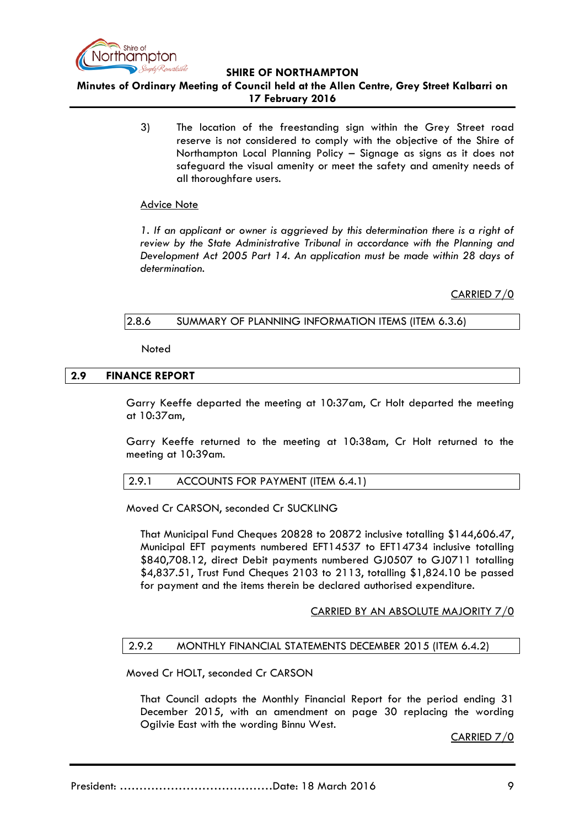

# **Minutes of Ordinary Meeting of Council held at the Allen Centre, Grey Street Kalbarri on 17 February 2016**

3) The location of the freestanding sign within the Grey Street road reserve is not considered to comply with the objective of the Shire of Northampton Local Planning Policy – Signage as signs as it does not safeguard the visual amenity or meet the safety and amenity needs of all thoroughfare users.

### Advice Note

*1. If an applicant or owner is aggrieved by this determination there is a right of review by the State Administrative Tribunal in accordance with the Planning and Development Act 2005 Part 14. An application must be made within 28 days of determination.*

CARRIED 7/0

### <span id="page-8-0"></span>2.8.6 SUMMARY OF PLANNING INFORMATION ITEMS (ITEM 6.3.6)

Noted

#### **2.9 FINANCE REPORT**

Garry Keeffe departed the meeting at 10:37am, Cr Holt departed the meeting at 10:37am,

Garry Keeffe returned to the meeting at 10:38am, Cr Holt returned to the meeting at 10:39am.

#### <span id="page-8-1"></span>2.9.1 ACCOUNTS FOR PAYMENT (ITEM 6.4.1)

#### Moved Cr CARSON, seconded Cr SUCKLING

That Municipal Fund Cheques 20828 to 20872 inclusive totalling \$144,606.47, Municipal EFT payments numbered EFT14537 to EFT14734 inclusive totalling \$840,708.12, direct Debit payments numbered GJ0507 to GJ0711 totalling \$4,837.51, Trust Fund Cheques 2103 to 2113, totalling \$1,824.10 be passed for payment and the items therein be declared authorised expenditure.

#### CARRIED BY AN ABSOLUTE MAJORITY 7/0

# <span id="page-8-2"></span>2.9.2 MONTHLY FINANCIAL STATEMENTS DECEMBER 2015 (ITEM 6.4.2)

Moved Cr HOLT, seconded Cr CARSON

That Council adopts the Monthly Financial Report for the period ending 31 December 2015, with an amendment on page 30 replacing the wording Ogilvie East with the wording Binnu West.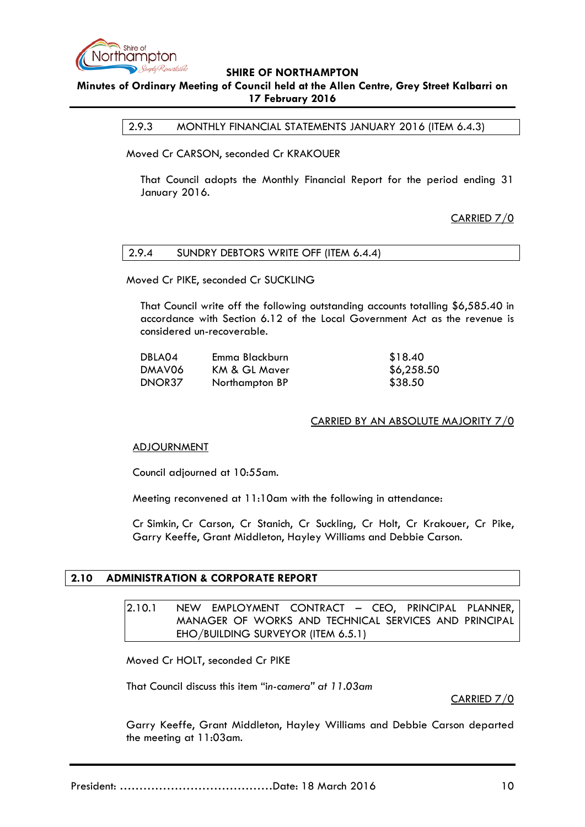

## <span id="page-9-0"></span>**Minutes of Ordinary Meeting of Council held at the Allen Centre, Grey Street Kalbarri on 17 February 2016**

2.9.3 MONTHLY FINANCIAL STATEMENTS JANUARY 2016 (ITEM 6.4.3)

Moved Cr CARSON, seconded Cr KRAKOUER

That Council adopts the Monthly Financial Report for the period ending 31 January 2016.

CARRIED 7/0

#### <span id="page-9-1"></span>2.9.4 SUNDRY DEBTORS WRITE OFF (ITEM 6.4.4)

Moved Cr PIKE, seconded Cr SUCKLING

That Council write off the following outstanding accounts totalling \$6,585.40 in accordance with Section 6.12 of the Local Government Act as the revenue is considered un-recoverable.

| DBLA04 | Emma Blackburn | \$18.40    |
|--------|----------------|------------|
| DMAV06 | KM & GL Maver  | \$6,258.50 |
| DNOR37 | Northampton BP | \$38.50    |

# CARRIED BY AN ABSOLUTE MAJORITY 7/0

#### ADJOURNMENT

Council adjourned at 10:55am.

Meeting reconvened at 11:10am with the following in attendance:

Cr Simkin, Cr Carson, Cr Stanich, Cr Suckling, Cr Holt, Cr Krakouer, Cr Pike, Garry Keeffe, Grant Middleton, Hayley Williams and Debbie Carson.

# <span id="page-9-3"></span><span id="page-9-2"></span>**2.10 ADMINISTRATION & CORPORATE REPORT**

2.10.1 NEW EMPLOYMENT CONTRACT – CEO, PRINCIPAL PLANNER, MANAGER OF WORKS AND TECHNICAL SERVICES AND PRINCIPAL EHO/BUILDING SURVEYOR (ITEM 6.5.1)

Moved Cr HOLT, seconded Cr PIKE

That Council discuss this item "i*n-camera" at 11.03am*

CARRIED 7/0

Garry Keeffe, Grant Middleton, Hayley Williams and Debbie Carson departed the meeting at 11:03am.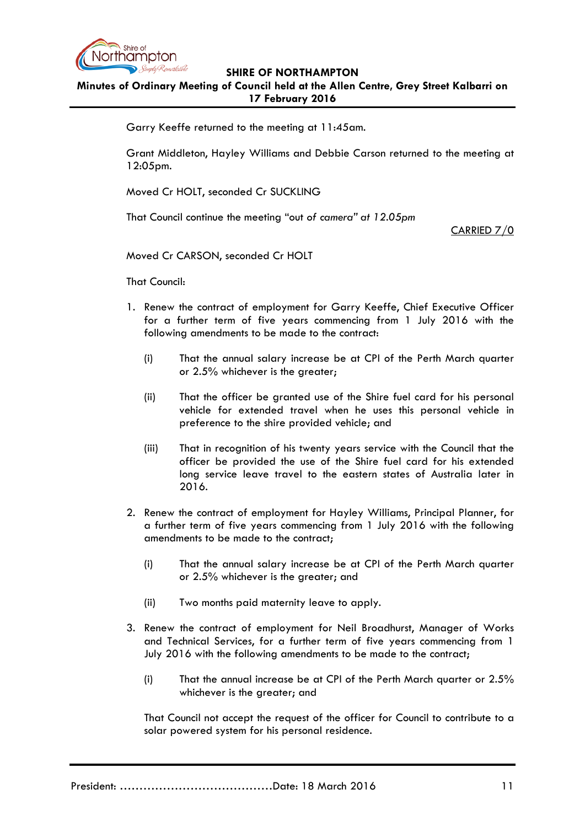

# **Minutes of Ordinary Meeting of Council held at the Allen Centre, Grey Street Kalbarri on 17 February 2016**

Garry Keeffe returned to the meeting at 11:45am.

Grant Middleton, Hayley Williams and Debbie Carson returned to the meeting at 12:05pm.

Moved Cr HOLT, seconded Cr SUCKLING

That Council continue the meeting "out *of camera" at 12.05pm*

CARRIED 7/0

Moved Cr CARSON, seconded Cr HOLT

That Council:

- 1. Renew the contract of employment for Garry Keeffe, Chief Executive Officer for a further term of five years commencing from 1 July 2016 with the following amendments to be made to the contract:
	- (i) That the annual salary increase be at CPI of the Perth March quarter or 2.5% whichever is the greater;
	- (ii) That the officer be granted use of the Shire fuel card for his personal vehicle for extended travel when he uses this personal vehicle in preference to the shire provided vehicle; and
	- (iii) That in recognition of his twenty years service with the Council that the officer be provided the use of the Shire fuel card for his extended long service leave travel to the eastern states of Australia later in 2016.
- 2. Renew the contract of employment for Hayley Williams, Principal Planner, for a further term of five years commencing from 1 July 2016 with the following amendments to be made to the contract;
	- (i) That the annual salary increase be at CPI of the Perth March quarter or 2.5% whichever is the greater; and
	- (ii) Two months paid maternity leave to apply.
- 3. Renew the contract of employment for Neil Broadhurst, Manager of Works and Technical Services, for a further term of five years commencing from 1 July 2016 with the following amendments to be made to the contract;
	- (i) That the annual increase be at CPI of the Perth March quarter or 2.5% whichever is the greater; and

That Council not accept the request of the officer for Council to contribute to a solar powered system for his personal residence.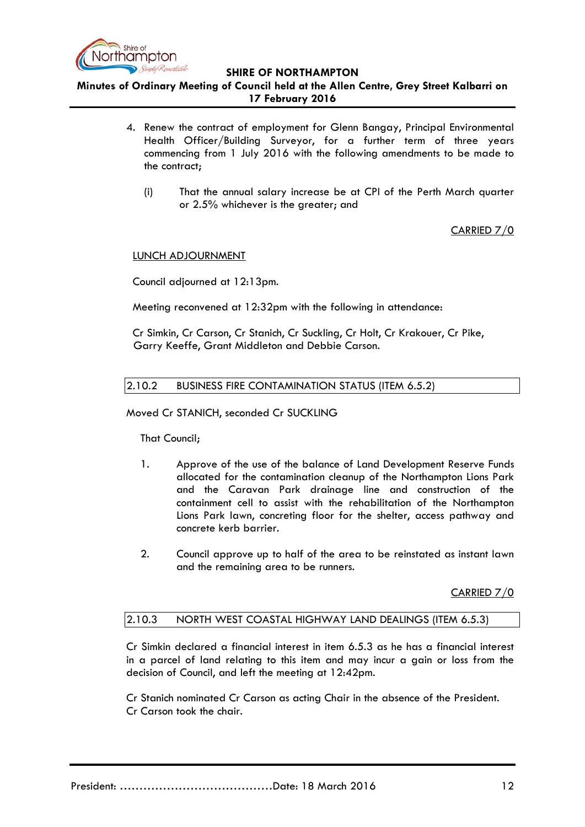

**Minutes of Ordinary Meeting of Council held at the Allen Centre, Grey Street Kalbarri on 17 February 2016**

- 4. Renew the contract of employment for Glenn Bangay, Principal Environmental Health Officer/Building Surveyor, for a further term of three years commencing from 1 July 2016 with the following amendments to be made to the contract;
	- (i) That the annual salary increase be at CPI of the Perth March quarter or 2.5% whichever is the greater; and

CARRIED 7/0

### LUNCH ADJOURNMENT

Council adjourned at 12:13pm.

Meeting reconvened at 12:32pm with the following in attendance:

Cr Simkin, Cr Carson, Cr Stanich, Cr Suckling, Cr Holt, Cr Krakouer, Cr Pike, Garry Keeffe, Grant Middleton and Debbie Carson.

#### <span id="page-11-0"></span>2.10.2 BUSINESS FIRE CONTAMINATION STATUS (ITEM 6.5.2)

Moved Cr STANICH, seconded Cr SUCKLING

That Council;

- 1. Approve of the use of the balance of Land Development Reserve Funds allocated for the contamination cleanup of the Northampton Lions Park and the Caravan Park drainage line and construction of the containment cell to assist with the rehabilitation of the Northampton Lions Park lawn, concreting floor for the shelter, access pathway and concrete kerb barrier.
- 2. Council approve up to half of the area to be reinstated as instant lawn and the remaining area to be runners.

CARRIED 7/0

# <span id="page-11-1"></span>2.10.3 NORTH WEST COASTAL HIGHWAY LAND DEALINGS (ITEM 6.5.3)

Cr Simkin declared a financial interest in item 6.5.3 as he has a financial interest in a parcel of land relating to this item and may incur a gain or loss from the decision of Council, and left the meeting at 12:42pm.

Cr Stanich nominated Cr Carson as acting Chair in the absence of the President. Cr Carson took the chair.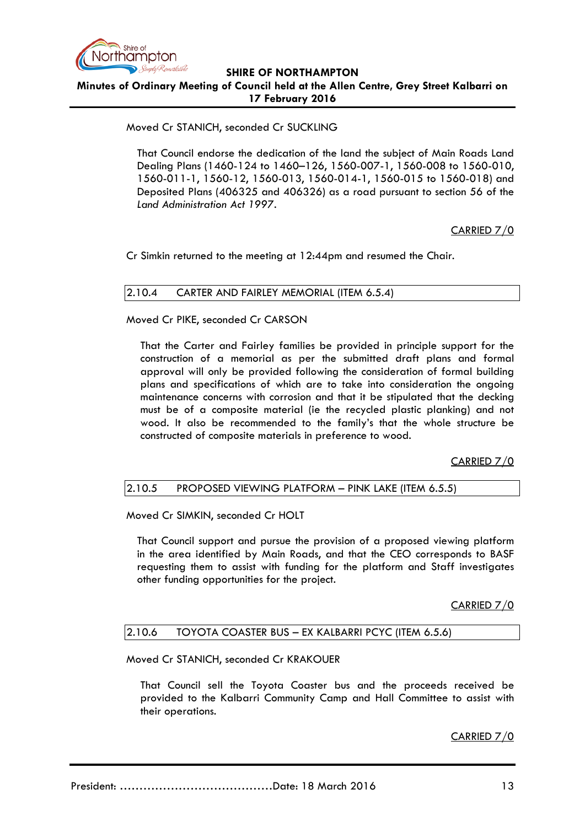

# **SHIRE OF NORTHAMPTON Minutes of Ordinary Meeting of Council held at the Allen Centre, Grey Street Kalbarri on 17 February 2016**

# Moved Cr STANICH, seconded Cr SUCKLING

That Council endorse the dedication of the land the subject of Main Roads Land Dealing Plans (1460-124 to 1460–126, 1560-007-1, 1560-008 to 1560-010, 1560-011-1, 1560-12, 1560-013, 1560-014-1, 1560-015 to 1560-018) and Deposited Plans (406325 and 406326) as a road pursuant to section 56 of the *Land Administration Act 1997.*

CARRIED 7/0

Cr Simkin returned to the meeting at 12:44pm and resumed the Chair.

# <span id="page-12-0"></span>2.10.4 CARTER AND FAIRLEY MEMORIAL (ITEM 6.5.4)

Moved Cr PIKE, seconded Cr CARSON

That the Carter and Fairley families be provided in principle support for the construction of a memorial as per the submitted draft plans and formal approval will only be provided following the consideration of formal building plans and specifications of which are to take into consideration the ongoing maintenance concerns with corrosion and that it be stipulated that the decking must be of a composite material (ie the recycled plastic planking) and not wood. It also be recommended to the family's that the whole structure be constructed of composite materials in preference to wood.

CARRIED 7/0

# <span id="page-12-1"></span>2.10.5 PROPOSED VIEWING PLATFORM – PINK LAKE (ITEM 6.5.5)

Moved Cr SIMKIN, seconded Cr HOLT

That Council support and pursue the provision of a proposed viewing platform in the area identified by Main Roads, and that the CEO corresponds to BASF requesting them to assist with funding for the platform and Staff investigates other funding opportunities for the project.

CARRIED 7/0

#### <span id="page-12-2"></span>2.10.6 TOYOTA COASTER BUS – EX KALBARRI PCYC (ITEM 6.5.6)

Moved Cr STANICH, seconded Cr KRAKOUER

That Council sell the Toyota Coaster bus and the proceeds received be provided to the Kalbarri Community Camp and Hall Committee to assist with their operations.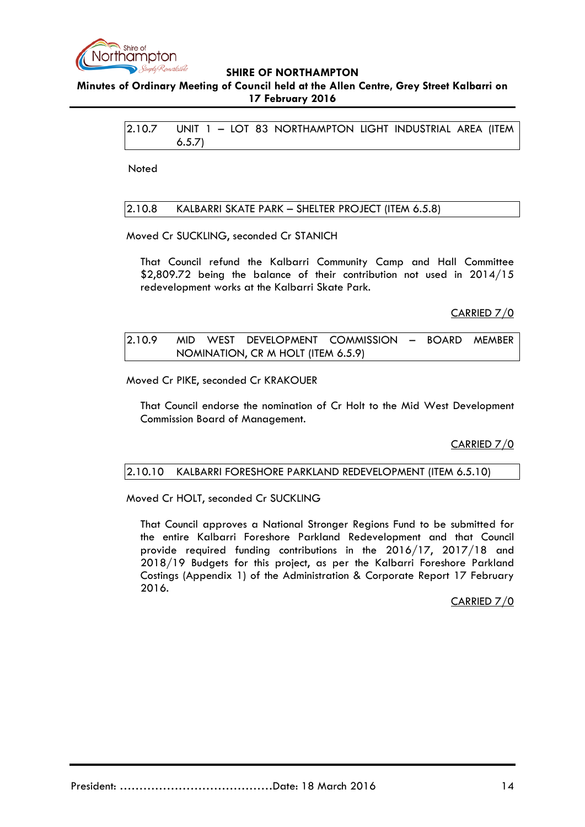

<span id="page-13-0"></span>**Minutes of Ordinary Meeting of Council held at the Allen Centre, Grey Street Kalbarri on 17 February 2016**

> 2.10.7 UNIT 1 – LOT 83 NORTHAMPTON LIGHT INDUSTRIAL AREA (ITEM 6.5.7)

Noted

### <span id="page-13-1"></span>2.10.8 KALBARRI SKATE PARK – SHELTER PROJECT (ITEM 6.5.8)

### Moved Cr SUCKLING, seconded Cr STANICH

That Council refund the Kalbarri Community Camp and Hall Committee \$2,809.72 being the balance of their contribution not used in 2014/15 redevelopment works at the Kalbarri Skate Park.

CARRIED 7/0

<span id="page-13-2"></span>

| 2.10.9 |  | MID WEST DEVELOPMENT COMMISSION - BOARD MEMBER |  |  |
|--------|--|------------------------------------------------|--|--|
|        |  | NOMINATION, CR M HOLT (ITEM 6.5.9)             |  |  |

Moved Cr PIKE, seconded Cr KRAKOUER

That Council endorse the nomination of Cr Holt to the Mid West Development Commission Board of Management.

CARRIED 7/0

#### <span id="page-13-3"></span>2.10.10 KALBARRI FORESHORE PARKLAND REDEVELOPMENT (ITEM 6.5.10)

Moved Cr HOLT, seconded Cr SUCKLING

That Council approves a National Stronger Regions Fund to be submitted for the entire Kalbarri Foreshore Parkland Redevelopment and that Council provide required funding contributions in the 2016/17, 2017/18 and 2018/19 Budgets for this project, as per the Kalbarri Foreshore Parkland Costings (Appendix 1) of the Administration & Corporate Report 17 February 2016.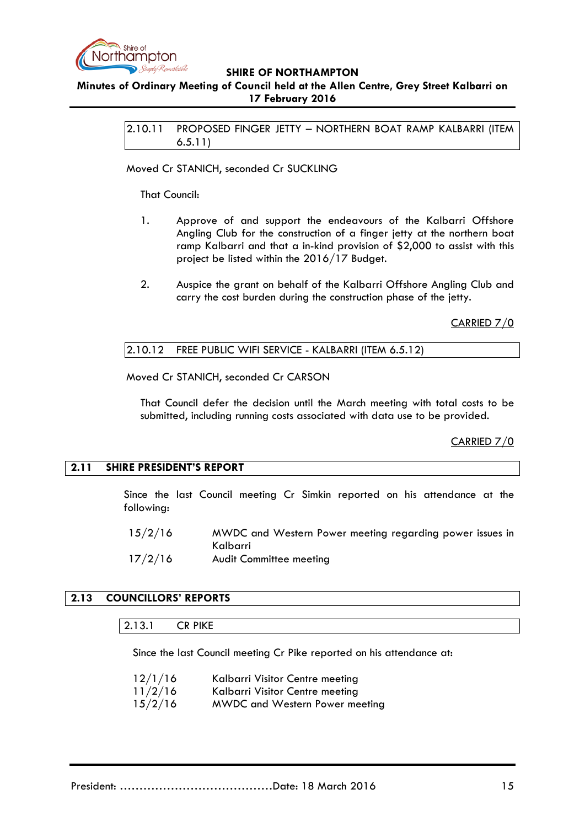

## <span id="page-14-0"></span>**Minutes of Ordinary Meeting of Council held at the Allen Centre, Grey Street Kalbarri on 17 February 2016**

2.10.11 PROPOSED FINGER JETTY – NORTHERN BOAT RAMP KALBARRI (ITEM 6.5.11)

Moved Cr STANICH, seconded Cr SUCKLING

That Council:

- 1. Approve of and support the endeavours of the Kalbarri Offshore Angling Club for the construction of a finger jetty at the northern boat ramp Kalbarri and that a in-kind provision of \$2,000 to assist with this project be listed within the 2016/17 Budget.
- 2. Auspice the grant on behalf of the Kalbarri Offshore Angling Club and carry the cost burden during the construction phase of the jetty.

CARRIED 7/0

### <span id="page-14-1"></span>2.10.12 FREE PUBLIC WIFI SERVICE - KALBARRI (ITEM 6.5.12)

Moved Cr STANICH, seconded Cr CARSON

That Council defer the decision until the March meeting with total costs to be submitted, including running costs associated with data use to be provided.

CARRIED 7/0

# <span id="page-14-2"></span>**2.11 SHIRE PRESIDENT'S REPORT**

Since the last Council meeting Cr Simkin reported on his attendance at the following:

- 15/2/16 MWDC and Western Power meeting regarding power issues in Kalbarri
- 17/2/16 Audit Committee meeting

# <span id="page-14-4"></span><span id="page-14-3"></span>**2.13 COUNCILLORS' REPORTS**

2.13.1 CR PIKE

Since the last Council meeting Cr Pike reported on his attendance at:

| 12/1/16 | Kalbarri Visitor Centre meeting |
|---------|---------------------------------|
| 11/2/16 | Kalbarri Visitor Centre meeting |

15/2/16 MWDC and Western Power meeting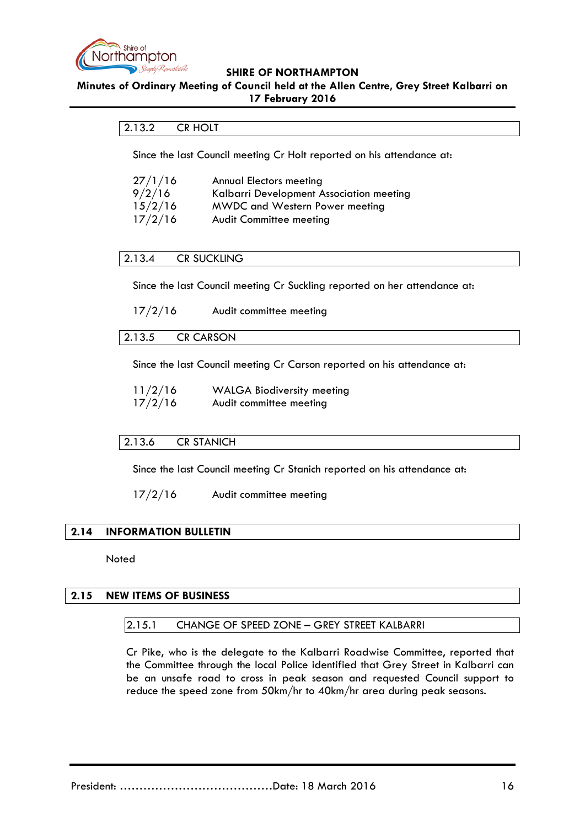

### <span id="page-15-0"></span>**Minutes of Ordinary Meeting of Council held at the Allen Centre, Grey Street Kalbarri on 17 February 2016**

## 2.13.2 CR HOLT

Since the last Council meeting Cr Holt reported on his attendance at:

| 27/1/16 | Annual Electors meeting                  |
|---------|------------------------------------------|
| 9/2/16  | Kalbarri Development Association meeting |
| 15/2/16 | <b>MWDC and Western Power meeting</b>    |
| 17/2/16 | <b>Audit Committee meeting</b>           |

#### <span id="page-15-1"></span>2.13.4 CR SUCKLING

Since the last Council meeting Cr Suckling reported on her attendance at:

| 17/2/16 | Audit committee meeting |
|---------|-------------------------|
|---------|-------------------------|

#### <span id="page-15-2"></span>2.13.5 CR CARSON

Since the last Council meeting Cr Carson reported on his attendance at:

| 11/2/16 | <b>WALGA Biodiversity meeting</b> |
|---------|-----------------------------------|
| 17/2/16 | Audit committee meeting           |

### <span id="page-15-3"></span>2.13.6 CR STANICH

Since the last Council meeting Cr Stanich reported on his attendance at:

17/2/16 Audit committee meeting

#### <span id="page-15-4"></span>**2.14 INFORMATION BULLETIN**

**Noted** 

### <span id="page-15-6"></span><span id="page-15-5"></span>**2.15 NEW ITEMS OF BUSINESS**

#### 2.15.1 CHANGE OF SPEED ZONE – GREY STREET KALBARRI

Cr Pike, who is the delegate to the Kalbarri Roadwise Committee, reported that the Committee through the local Police identified that Grey Street in Kalbarri can be an unsafe road to cross in peak season and requested Council support to reduce the speed zone from 50km/hr to 40km/hr area during peak seasons.